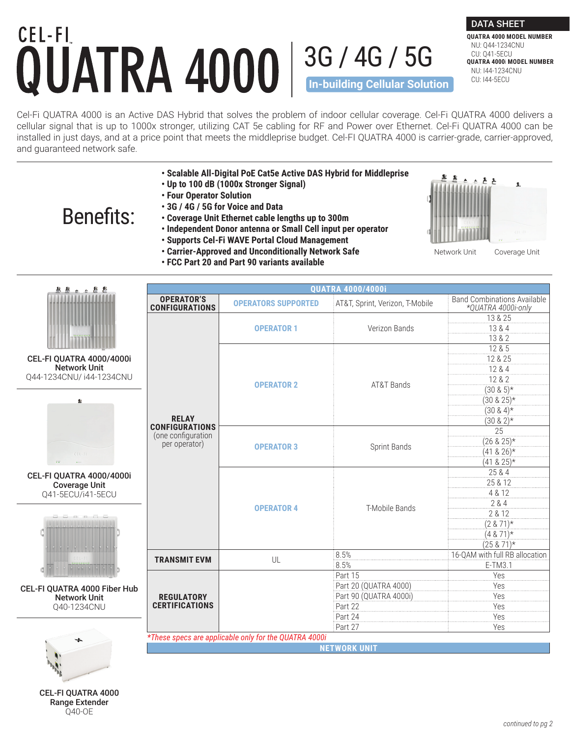## CEL-FI 3G / 4G / 5G **In-building Cellular Solution**

Cel-Fi QUATRA 4000 is an Active DAS Hybrid that solves the problem of indoor cellular coverage. Cel-Fi QUATRA 4000 delivers a cellular signal that is up to 1000x stronger, utilizing CAT 5e cabling for RF and Power over Ethernet. Cel-Fi QUATRA 4000 can be installed in just days, and at a price point that meets the middleprise budget. Cel-FI QUATRA 4000 is carrier-grade, carrier-approved, and guaranteed network safe.

- **Scalable All-Digital PoE Cat5e Active DAS Hybrid for Middleprise**
- **Up to 100 dB (1000x Stronger Signal)**
- **Four Operator Solution**
- **3G / 4G / 5G for Voice and Data**

## Benefits:

- **Coverage Unit Ethernet cable lengths up to 300m**
- **Independent Donor antenna or Small Cell input per operator**
- **Supports Cel-Fi WAVE Portal Cloud Management**
- **Carrier-Approved and Unconditionally Network Safe**
- **FCC Part 20 and Part 90 variants available**



DATA SHEET **QUATRA 4000 MODEL NUMBER** NU: Q44-1234CNU CU: Q41-5ECU

**QUATRA 4000**i **MODEL NUMBER** NU: I44-1234CNU CU: I44-5ECU

Network Unit Coverage Unit

| 医鼻舌舌唇唇                                                                   | <b>QUATRA 4000/4000i</b>                              |                            |                                 |                                                          |  |  |
|--------------------------------------------------------------------------|-------------------------------------------------------|----------------------------|---------------------------------|----------------------------------------------------------|--|--|
|                                                                          | <b>OPERATOR'S</b><br><b>CONFIGURATIONS</b>            | <b>OPERATORS SUPPORTED</b> | AT&T, Sprint, Verizon, T-Mobile | <b>Band Combinations Available</b><br>*QUATRA 4000i-only |  |  |
|                                                                          |                                                       |                            |                                 | 13 & 25                                                  |  |  |
|                                                                          |                                                       | <b>OPERATOR 1</b>          | Verizon Bands                   | 13 & 4                                                   |  |  |
|                                                                          |                                                       |                            |                                 | 13 & 2                                                   |  |  |
|                                                                          |                                                       | <b>OPERATOR 2</b>          | AT&T Bands                      | 12 & 5                                                   |  |  |
| CEL-FI QUATRA 4000/4000i                                                 |                                                       |                            |                                 | 12 & 25                                                  |  |  |
| <b>Network Unit</b>                                                      |                                                       |                            |                                 | 12 & 4                                                   |  |  |
| Q44-1234CNU/i44-1234CNU                                                  |                                                       |                            |                                 | 12 & 2                                                   |  |  |
| 业                                                                        |                                                       |                            |                                 | $(30 \& 5)*$                                             |  |  |
|                                                                          |                                                       |                            |                                 | $(30 \& 25)*$                                            |  |  |
|                                                                          |                                                       |                            |                                 | $(30 \& 4)*$                                             |  |  |
|                                                                          | <b>RELAY</b><br><b>CONFIGURATIONS</b>                 |                            |                                 | $(30 \& 2)*$                                             |  |  |
|                                                                          | (one configuration                                    | <b>OPERATOR 3</b>          | Sprint Bands                    | $\overline{25}$                                          |  |  |
| $CEL-FI$                                                                 | per operator)                                         |                            |                                 | $(26 & 25)*$                                             |  |  |
|                                                                          |                                                       |                            |                                 | $(41 & 26)*$                                             |  |  |
|                                                                          |                                                       |                            |                                 | $(41 & 25)*$                                             |  |  |
| CEL-FI QUATRA 4000/4000i                                                 |                                                       | <b>OPERATOR 4</b>          | T-Mobile Bands                  | 25 & 4                                                   |  |  |
| <b>Coverage Unit</b><br>Q41-5ECU/i41-5ECU                                |                                                       |                            |                                 | 25 & 12<br>4 & 12                                        |  |  |
|                                                                          |                                                       |                            |                                 | 2 & 4                                                    |  |  |
|                                                                          |                                                       |                            |                                 | 2 & 12                                                   |  |  |
|                                                                          |                                                       |                            |                                 | $(2 & 71)*$                                              |  |  |
|                                                                          |                                                       |                            |                                 | $(4 & 71)*$                                              |  |  |
|                                                                          |                                                       |                            |                                 | $(25 & 71)*$                                             |  |  |
| <b>RR</b>                                                                | <b>TRANSMIT EVM</b>                                   | UL                         | 8.5%                            | 16-QAM with full RB allocation                           |  |  |
| 69<br>CEL-FI QUATRA 4000 Fiber Hub<br><b>Network Unit</b><br>Q40-1234CNU |                                                       |                            | 8.5%                            | E-TM3.1                                                  |  |  |
|                                                                          |                                                       |                            | Part 15                         | Yes                                                      |  |  |
|                                                                          | <b>REGULATORY</b><br><b>CERTIFICATIONS</b>            |                            | Part 20 (QUATRA 4000)           | Yes                                                      |  |  |
|                                                                          |                                                       |                            | Part 90 (QUATRA 4000i)          | Yes                                                      |  |  |
|                                                                          |                                                       |                            | Part 22                         | Yes                                                      |  |  |
|                                                                          |                                                       |                            | Part 24                         | Yes                                                      |  |  |
|                                                                          |                                                       |                            | Part 27                         | Yes                                                      |  |  |
|                                                                          | *These specs are applicable only for the QUATRA 4000i |                            |                                 |                                                          |  |  |
|                                                                          | <b>NETWORK UNIT</b>                                   |                            |                                 |                                                          |  |  |
|                                                                          |                                                       |                            |                                 |                                                          |  |  |
|                                                                          |                                                       |                            |                                 |                                                          |  |  |
|                                                                          |                                                       |                            |                                 |                                                          |  |  |
| CEL ELOUATDA AOOO                                                        |                                                       |                            |                                 |                                                          |  |  |

CEL-FI QUATRA 4000 Range Extender Q40-OE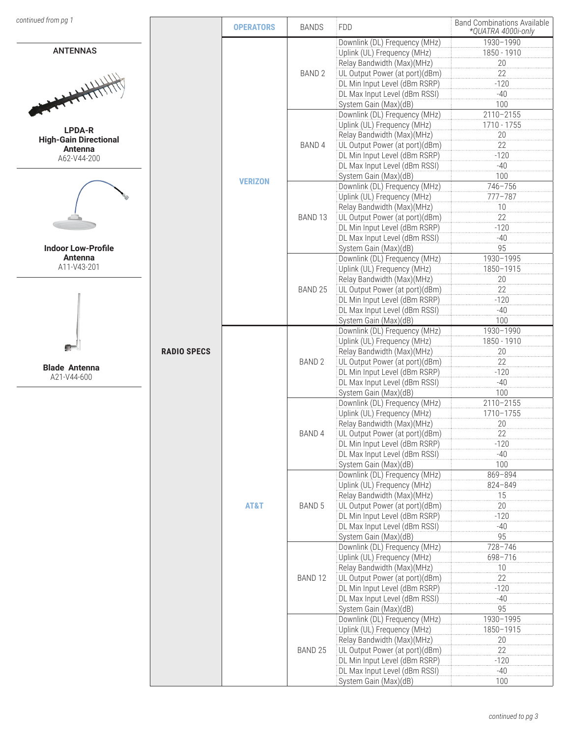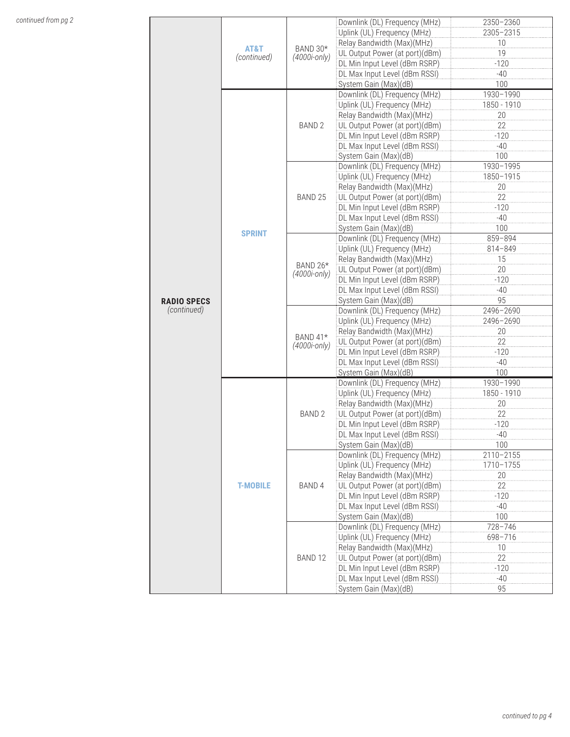|                    |                 |                    | Downlink (DL) Frequency (MHz)  | 2350-2360   |
|--------------------|-----------------|--------------------|--------------------------------|-------------|
|                    |                 |                    | Uplink (UL) Frequency (MHz)    | 2305-2315   |
|                    |                 |                    | Relay Bandwidth (Max)(MHz)     | 10          |
|                    | AT&T            | BAND 30*           | UL Output Power (at port)(dBm) | 19          |
|                    | (continued)     | $(4000i$ -only)    | DL Min Input Level (dBm RSRP)  | $-120$      |
|                    |                 |                    | DL Max Input Level (dBm RSSI)  | $-40$       |
|                    |                 |                    | System Gain (Max)(dB)          | 100         |
|                    |                 |                    |                                |             |
|                    |                 |                    | Downlink (DL) Frequency (MHz)  | 1930-1990   |
|                    |                 | BAND <sub>2</sub>  | Uplink (UL) Frequency (MHz)    | 1850 - 1910 |
|                    |                 |                    | Relay Bandwidth (Max)(MHz)     | 20          |
|                    |                 |                    | UL Output Power (at port)(dBm) | 22          |
|                    |                 |                    | DL Min Input Level (dBm RSRP)  | $-120$      |
|                    |                 |                    | DL Max Input Level (dBm RSSI)  | $-40$       |
|                    |                 |                    | System Gain (Max)(dB)          | 100         |
|                    |                 |                    | Downlink (DL) Frequency (MHz)  | 1930-1995   |
|                    |                 |                    | Uplink (UL) Frequency (MHz)    | 1850-1915   |
|                    |                 |                    | Relay Bandwidth (Max)(MHz)     | 20          |
|                    |                 | BAND <sub>25</sub> | UL Output Power (at port)(dBm) | 22          |
|                    |                 |                    |                                |             |
|                    |                 |                    | DL Min Input Level (dBm RSRP)  | $-120$      |
|                    |                 |                    | DL Max Input Level (dBm RSSI)  | $-40$       |
|                    | <b>SPRINT</b>   |                    | System Gain (Max)(dB)          | 100         |
|                    |                 |                    | Downlink (DL) Frequency (MHz)  | 859-894     |
|                    |                 |                    | Uplink (UL) Frequency (MHz)    | 814-849     |
|                    |                 |                    | Relay Bandwidth (Max)(MHz)     | 15          |
|                    |                 | BAND 26*           | UL Output Power (at port)(dBm) | 20          |
|                    |                 | (4000i-only)       | DL Min Input Level (dBm RSRP)  | $-120$      |
|                    |                 |                    | DL Max Input Level (dBm RSSI)  | $-40$       |
| <b>RADIO SPECS</b> |                 |                    | System Gain (Max)(dB)          | 95          |
| (continued)        |                 |                    | Downlink (DL) Frequency (MHz)  |             |
|                    |                 |                    |                                | 2496-2690   |
|                    |                 |                    | Uplink (UL) Frequency (MHz)    | 2496-2690   |
|                    |                 | BAND 41*           | Relay Bandwidth (Max)(MHz)     | 20          |
|                    |                 | (4000i-only)       | UL Output Power (at port)(dBm) | 22          |
|                    |                 |                    | DL Min Input Level (dBm RSRP)  | $-120$      |
|                    |                 |                    | DL Max Input Level (dBm RSSI)  | $-40$       |
|                    |                 |                    | System Gain (Max)(dB)          | 100         |
|                    | <b>T-MOBILE</b> | BAND <sub>2</sub>  | Downlink (DL) Frequency (MHz)  | 1930-1990   |
|                    |                 |                    | Uplink (UL) Frequency (MHz)    | 1850 - 1910 |
|                    |                 |                    | Relay Bandwidth (Max)(MHz)     | 20          |
|                    |                 |                    | UL Output Power (at port)(dBm) | 22          |
|                    |                 |                    | DL Min Input Level (dBm RSRP)  | $-120$      |
|                    |                 |                    | DL Max Input Level (dBm RSSI)  | -40         |
|                    |                 |                    | System Gain (Max)(dB)          |             |
|                    |                 |                    |                                | 100         |
|                    |                 |                    | Downlink (DL) Frequency (MHz)  | 2110-2155   |
|                    |                 |                    | Uplink (UL) Frequency (MHz)    | 1710-1755   |
|                    |                 | BAND 4             | Relay Bandwidth (Max)(MHz)     | $20\,$      |
|                    |                 |                    | UL Output Power (at port)(dBm) | 22          |
|                    |                 |                    | DL Min Input Level (dBm RSRP)  | $-120$      |
|                    |                 |                    | DL Max Input Level (dBm RSSI)  | $-40$       |
|                    |                 |                    | System Gain (Max)(dB)          | 100         |
|                    |                 |                    | Downlink (DL) Frequency (MHz)  | 728-746     |
|                    |                 |                    | Uplink (UL) Frequency (MHz)    | 698-716     |
|                    |                 |                    |                                | 10          |
|                    |                 | BAND <sub>12</sub> | Relay Bandwidth (Max)(MHz)     |             |
|                    |                 |                    | UL Output Power (at port)(dBm) | 22          |
|                    |                 |                    | DL Min Input Level (dBm RSRP)  | $-120$      |
|                    |                 |                    | DL Max Input Level (dBm RSSI)  | $-40$       |
|                    |                 |                    | System Gain (Max)(dB)          | 95          |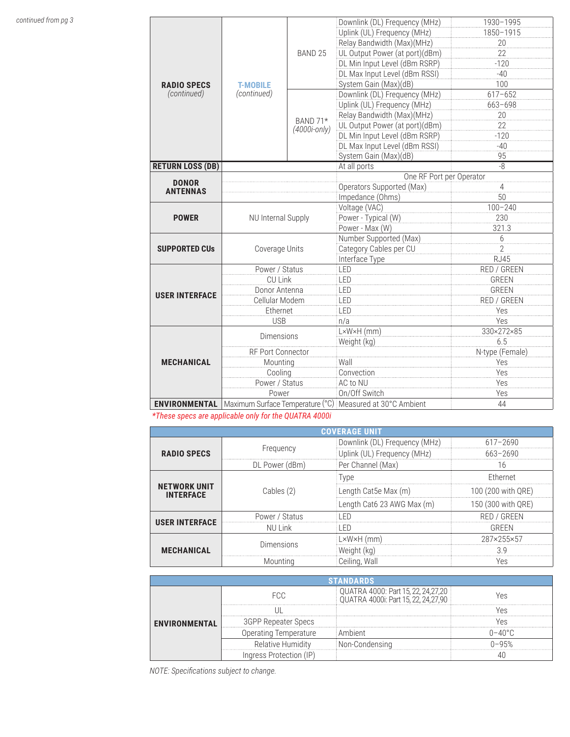|                         |                                |                          | Downlink (DL) Frequency (MHz)                                                      | 1930-1995       |  |
|-------------------------|--------------------------------|--------------------------|------------------------------------------------------------------------------------|-----------------|--|
|                         |                                |                          | Uplink (UL) Frequency (MHz)                                                        | 1850-1915       |  |
|                         |                                |                          | Relay Bandwidth (Max)(MHz)                                                         | 20              |  |
|                         |                                | BAND <sub>25</sub>       | UL Output Power (at port)(dBm)                                                     | 22              |  |
|                         |                                |                          | DL Min Input Level (dBm RSRP)                                                      | $-120$          |  |
|                         |                                |                          | DL Max Input Level (dBm RSSI)                                                      | $-40$           |  |
| <b>RADIO SPECS</b>      | <b>T-MOBILE</b><br>(continued) | BAND 71*<br>(4000i-only) | System Gain (Max)(dB)                                                              | 100             |  |
| (continued)             |                                |                          | Downlink (DL) Frequency (MHz)                                                      | $617 - 652$     |  |
|                         |                                |                          | Uplink (UL) Frequency (MHz)                                                        | 663-698         |  |
|                         |                                |                          | Relay Bandwidth (Max)(MHz)                                                         | 20              |  |
|                         |                                |                          | UL Output Power (at port)(dBm)                                                     | 22              |  |
|                         |                                |                          | DL Min Input Level (dBm RSRP)                                                      | $-120$          |  |
|                         |                                |                          | DL Max Input Level (dBm RSSI)                                                      | $-40$           |  |
|                         |                                |                          | System Gain (Max)(dB)                                                              | 95              |  |
| <b>RETURN LOSS (DB)</b> |                                |                          | At all ports                                                                       | -8              |  |
| <b>DONOR</b>            |                                |                          | One RF Port per Operator                                                           |                 |  |
| <b>ANTENNAS</b>         |                                |                          | Operators Supported (Max)                                                          | 4               |  |
|                         |                                |                          | Impedance (Ohms)                                                                   | 50              |  |
|                         | NU Internal Supply             |                          | Voltage (VAC)                                                                      | $100 - 240$     |  |
| <b>POWER</b>            |                                |                          | Power - Typical (W)                                                                | 230             |  |
|                         |                                |                          | Power - Max (W)                                                                    | 321.3           |  |
|                         | Coverage Units                 |                          | Number Supported (Max)                                                             | 6               |  |
| <b>SUPPORTED CUS</b>    |                                |                          | Category Cables per CU                                                             | $\overline{2}$  |  |
|                         |                                |                          | Interface Type                                                                     | <b>RJ45</b>     |  |
|                         | Power / Status                 |                          | LED                                                                                | RED / GREEN     |  |
|                         | <b>CU Link</b>                 |                          | LED                                                                                | <b>GREEN</b>    |  |
| <b>USER INTERFACE</b>   | Donor Antenna                  |                          | LED                                                                                | <b>GREEN</b>    |  |
|                         | Cellular Modem                 |                          | LED                                                                                | RED / GREEN     |  |
|                         | Ethernet                       |                          | LED                                                                                | Yes             |  |
|                         | <b>USB</b>                     |                          | n/a                                                                                | Yes             |  |
| <b>MECHANICAL</b>       | <b>Dimensions</b>              |                          | $L \times W \times H$ (mm)                                                         | 330×272×85      |  |
|                         |                                |                          | Weight (kg)                                                                        | 6.5             |  |
|                         | RF Port Connector              |                          |                                                                                    | N-type (Female) |  |
|                         | Mounting                       |                          | Wall                                                                               | Yes             |  |
|                         | Cooling                        |                          | Convection                                                                         | Yes             |  |
|                         | Power / Status                 |                          | AC to NU                                                                           | Yes             |  |
| Power                   |                                |                          | On/Off Switch                                                                      | Yes             |  |
|                         |                                |                          | <b>ENVIRONMENTAL</b>   Maximum Surface Temperature (°C)   Measured at 30°C Ambient | 44              |  |

*\*These specs are applicable only for the QUATRA 4000i*

| <b>COVERAGE UNIT</b>                    |                |                               |                    |  |
|-----------------------------------------|----------------|-------------------------------|--------------------|--|
| <b>RADIO SPECS</b>                      | Frequency      | Downlink (DL) Frequency (MHz) | $617 - 2690$       |  |
|                                         |                | Uplink (UL) Frequency (MHz)   | 663-2690           |  |
|                                         | DL Power (dBm) | Per Channel (Max)             | 16                 |  |
| <b>NETWORK UNIT</b><br><b>INTERFACE</b> | Cables (2)     | <b>Type</b>                   | Ethernet           |  |
|                                         |                | Length Cat5e Max (m)          | 100 (200 with QRE) |  |
|                                         |                | Length Cat6 23 AWG Max (m)    | 150 (300 with QRE) |  |
| <b>USER INTERFACE</b>                   | Power / Status | -ED                           | RED / GREEN        |  |
|                                         | NU Link        | I FD                          | GRFFN              |  |
| <b>MECHANICAL</b>                       | Dimensions     | L×W×H (mm)                    | 287×255×57         |  |
|                                         |                | Weight (kg)                   | 3 Q                |  |
|                                         | Mountina       | Ceiling, Wall                 | Yes                |  |

| <b>ENVIRONMENTAL</b> | FCC.                       | QUATRA 4000: Part 15, 22, 24, 27, 20<br>QUATRA 4000i: Part 15, 22, 24, 27, 90 |  |  |
|----------------------|----------------------------|-------------------------------------------------------------------------------|--|--|
|                      |                            |                                                                               |  |  |
|                      | <b>3GPP Repeater Specs</b> |                                                                               |  |  |
|                      | Operating Temperature      | . Ambient                                                                     |  |  |
|                      | Relative Humidity          | Non-Condensina                                                                |  |  |
|                      | Ingress Protection (IP     |                                                                               |  |  |

*NOTE: Specifications subject to change.*